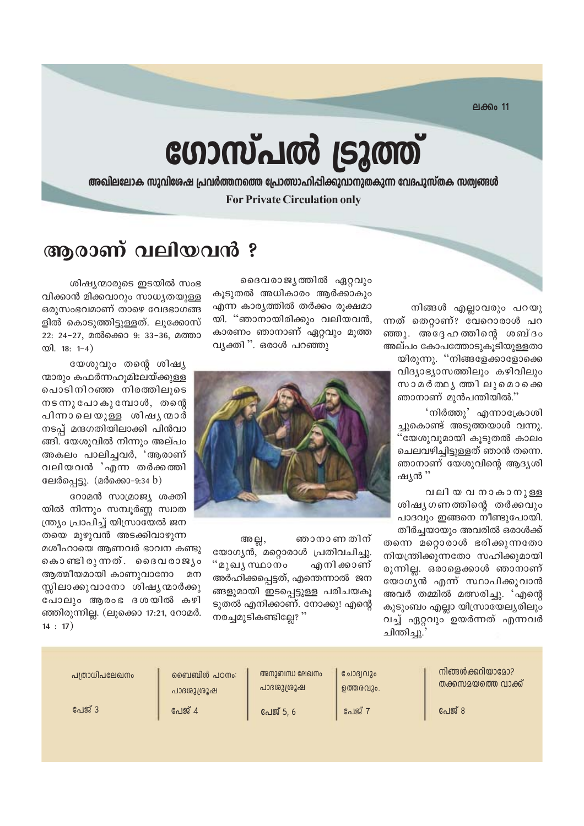**ലക്കം 11** 

# ഗോസ്പൽ ട്രൂത്ത്

അഖിലലോക സുവിശേഷ പ്രവർത്തനത്തെ പ്രോത്സാഹിപ്പിക്കുവാനുതകുന്ന വേദപുസ്തക സത്വങ്ങൾ **For Private Circulation only** 

### ആരാണ് വലിയവൻ ?

നിങ്ങൾ എല്ലാവരും പറയു ന്നത് തെറ്റാണ്? വേറൊരാൾ പറ ഞ്ഞു. അദ്ദേഹത്തിന്റെ ശബ്ദം അല്പം കോപത്തോടുകുടിയുള്ളതാ യിരുന്നു. "നിങ്ങളേക്കാളോക്കെ വിദ്യാഭ്യാസത്തിലും കഴിവിലും സാമർത്ഥ്യത്തിലുമൊക്കെ ഞാനാണ് മുൻപന്തിയിൽ."

'നിർത്തു' എന്നാക്രോശി ച്ചുകൊണ്ട് അടുത്തയാൾ വന്നു. "യേശുവുമായി കൂടുതൽ കാലം ചെലവഴിച്ചിട്ടുള്ളത് ഞാൻ തന്നെ. ഞാനാണ് യേശുവിന്റെ ആദൃശി ഷ്യൻ ''

വലിയ വ നാകാനുള്ള ശിഷ്യഗണത്തിന്റെ തർക്കവും പാദവും ഇങ്ങനെ നീണ്ടുപോയി. തീർച്ചയായും അവരിൽ ഒരാൾക്ക് തന്നെ മറ്റൊരാൾ ഭരിക്കുന്നതോ നിയന്ത്രിക്കുന്നതോ സഹിക്കുമായി രുന്നില്ല. ഒരാളെക്കാൾ ഞാനാണ് യോഗൃൻ എന്ന് സ്ഥാപിക്കുവാൻ

അവർ തമ്മിൽ മത്സരിച്ചു. 'എന്റെ കൂടുംബം എല്ലാ യിസ്രായേല്യരിലും വച്ച് ഏറ്റവും ഉയർന്നത് എന്നവർ

ചിന്തിച്ചു.

ദൈവരാജ്യത്തിൽ ഏറ്റവും കുടുതൽ അധികാരം ആർക്കാകും എന്ന കാര്യത്തിൽ തർക്കം രൂക്ഷമാ യി. "ഞാനായിരിക്കും വലിയവൻ, കാരണം ഞാനാണ് ഏറ്റവും മൂത്ത വ്യക്തി ". ഒരാൾ പറഞ്ഞു



ഞാനാണ തിന് അല്ല, യോഗൃൻ, മറ്റൊരാൾ പ്രതിവചിച്ചു. "മുഖ്യ സ്ഥാനം എനി ക്കാണ് അർഹിക്കപ്പെട്ടത്, എന്തെന്നാൽ ജന ങ്ങളുമായി ഇടപ്പെട്ടുള്ള പരിചയകൂ ടുതൽ എനിക്കാണ്. നോക്കു! എന്റെ നരച്ചമുടികണ്ടില്ലേ? "

ശിഷ്യന്മാരുടെ ഇടയിൽ സംഭ വിക്കാൻ മിക്കവാറും സാധ്യതയുള്ള ഒരുസംഭവമാണ് താഴെ വേദഭാഗങ്ങ ളിൽ കൊടുത്തിട്ടുള്ളത്. ലൂക്കോസ് 22: 24-27, മൽക്കൊ 9: 33-36, മത്താ  $\infty$ ]. 18: 1-4)

യേശുവും തന്റെ ശിഷ്യ ന്മാരും കഫർന്നഹുമിലേയ്ക്കുള്ള പൊടിനിറഞ്ഞ നിരത്തിലൂടെ  $ms$ ന്നു പോകുമ്പോൾ, തന്റെ പിന്നാലെയുള്ള ശിഷൃന്മാർ നടപ് മന്ദഗതിയിലാക്കി പിൻവാ ങ്ങി. യേശുവിൽ നിന്നും അല്പം അകലം പാലിച്ചവർ, 'ആരാണ് വലിയവൻ 'എന്ന തർക്കത്തി ലേർപ്പെട്ടു. (മർക്കൊ-9:34 b)

റോമൻ സാമ്രാജ്യ ശക്തി യിൽ നിന്നും സമ്പൂർണ്ണ സ്വാത ത്ര്യം പ്രാപിച്ച് യിസ്രായേൽ ജന തയെ മുഴുവൻ അടക്കിവാഴുന്ന

മശീഹായെ ആണവർ ഭാവന കണ്ടു കൊണ്ടിരുന്നത്. ദൈവരാജ്യം ആത്മീയമായി കാണുവാനോ മന സ്ലിലാക്കുവാനോ ശിഷ്യന്മാർക്കു പോലും ആരംഭ ദശയിൽ കഴി ഞ്ഞിരുന്നില്ല. (ലൂക്കൊ 17:21, റോമർ.  $14:17)$ 

| പത്രാധിപലേഖനം | ഞൈബിൾ പഠനം: | അനുബന്ധ ലേഖനം | ചോദ്വവും  | നിങ്ങൾക്കറിയാമോ?   |
|---------------|-------------|---------------|-----------|--------------------|
|               | പാദശുശ്രൂഷ  | പാദശുശ്രൂഷ    | ഉത്തരവും. | തക്കസമയത്തെ വാക്ക് |
| പേജ് 3        | പേജ് 4      | പേജ് 5, 6     | പേജ് 7    | പേജ് 8             |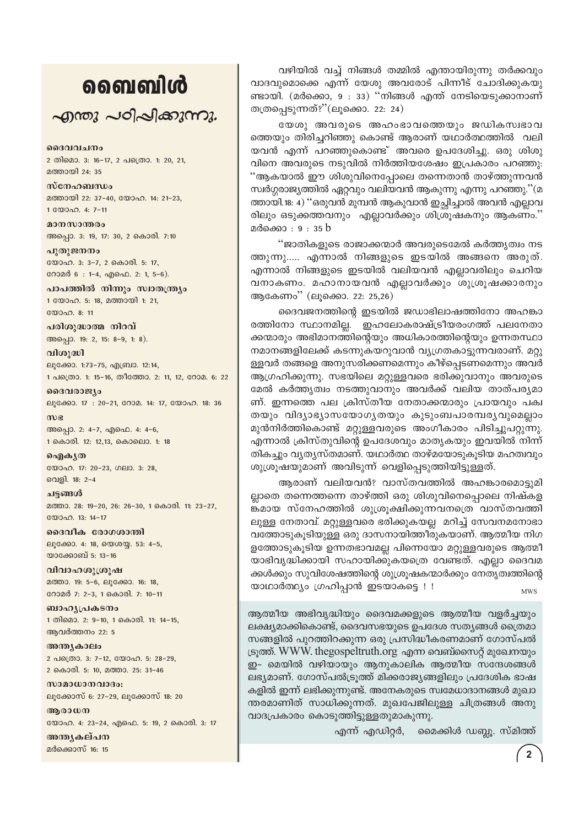## வைவிൾ

 $\sim$  anong  $\sim$  of  $\sim$  and  $\sim$   $\sim$   $\sim$ 

ദൈവവചനം 2 തിമൊ. 3: 16-17, 2 പത്രൊ. 1: 20, 21, മത്തായി 24: 35

സ്നേഹബന്ധം മത്തായി 22: 37-40, യോഹ. 14: 21-23, 1 0000 0.4: 7-11

മാനസാന്തരം അപ്പൊ. 3: 19, 17: 30, 2 കൊരി. 7:10

പുതുജനനം യോഹ. 3: 3-7, 2 കൊരി. 5: 17, റോമർ 6 : 1-4, എഫെ. 2: 1, 5-6).

പാപത്തിൽ നിന്നും സ്വാതന്ത്ര്യം 1 യോഹ. 5: 18, മത്തായി 1: 21,  $2000000811$ 

പരിശുദ്ധാത്മ നിറവ് അപ്പൊ. 19: 2, 15: 8-9, 1: 8).

വിശുദ്ധി ലൂക്കോ. 1:73-75, എബ്രാ. 12:14, 1 പക്രൊ. 1: 15-16, തീത്തോ. 2: 11, 12, റോമ. 6: 22

ദൈവരാജ്യം ലൂക്കോ. 17: 20-21, റോമ. 14: 17, യോഹ. 18: 36

 $m$  $g$ അപ്പൊ. 2: 4-7, എഫെ. 4: 4-6, 1 കൊരി. 12: 12,13, കൊലൊ. 1: 18

ഐകൃത യോഹ. 17: 20-23, ഗലാ. 3: 28, വെളി. 18: 2-4

ചട്ടങ്ങൾ മത്താ. 28: 19-20, 26: 26-30, 1 കൊരി. 11: 23-27, യോഹ. 13: 14-17

ദൈവീക രോഗശാന്തി ലൂക്കോ. 4: 18, യെശയ്യ. 53: 4-5, യാക്കോബ് 5: 13-16

വിവാഹശുശ്രൂഷ മത്താ. 19: 5-6, ലൂക്കോ. 16: 18, റോമർ 7: 2-3, 1 കൊരി. 7: 10-11

ബാഹ്യപ്രകടനം 1 തിമൊ. 2: 9-10, 1 കൊരി. 11: 14-15, ആവർത്തനം 22: 5

അന്ത്യകാലം 2 പത്രൊ. 3: 7-12, യോഹ. 5: 28-29, 2 കൊരി. 5: 10, മത്താ. 25: 31-46

സാമാധാനവാദം: ലൂക്കോസ് 6: 27-29, ലൂക്കോസ് 18: 20

അരാധന യോഹ. 4: 23-24, എഫെ. 5: 19, 2 കൊരി. 3: 17

അന്തൃകല്പന മർക്കൊസ് 16: 15

വഴിയിൽ വച്ച് നിങ്ങൾ തമ്മിൽ എന്തായിരുന്നു തർക്കവും വാദവുമൊക്കെ എന്ന് യേശു അവരോട് പിന്നീട് ചോദിക്കുകയു ണ്ടായി. (മർക്കൊ, 9 : 33) ''നിങ്ങൾ എന്ത് നേടിയെടുക്കാനാണ് തത്രപ്പെടുന്നത്?"(ലൂക്കൊ. 22: 24)

യേശു അവരുടെ അഹംഭാവത്തെയും ജഡികസ്വഭാവ ത്തെയും തിരിച്ചറിഞ്ഞു കൊണ്ട് ആരാണ് യഥാർത്ഥത്തിൽ വലി യവൻ എന്ന് പറഞ്ഞുകൊണ്ട് അവരെ ഉപദേശിച്ചു. ഒരു ശിശു വിനെ അവരുടെ നടുവിൽ നിർത്തിയശേഷം ഇപ്രകാരം പറഞ്ഞു: "ആകയാൽ ഈ ശിശുവിനെപ്പോലെ തന്നെതാൻ താഴ്ത്തുന്നവൻ സ്വർഗ്ഗരാജ്യത്തിൽ ഏറ്റവും വലിയവൻ ആകുന്നു എന്നു പറഞ്ഞു.''(മ ത്തായി.18: 4) ''ഒരുവൻ മുമ്പൻ ആകുവാൻ ഇച്ഛിച്ചാൽ അവൻ എല്ലാവ രിലും ഒടുക്കത്തവനും എല്ലാവർക്കും ശിശ്രൂഷകനും ആകണം." മർക്കൊ : 9 : 35 b

"ജാതികളുടെ രാജാക്കന്മാർ അവരുടെമേൽ കർത്തൃത്വം നട ത്തുന്നു….. എന്നാൽ നിങ്ങളുടെ ഇടയിൽ അങ്ങനെ അരുത്. എന്നാൽ നിങ്ങളുടെ ഇടയിൽ വലിയവൻ എല്ലാവരിലും ചെറിയ വനാകണം. മഹാനായവൻ എല്ലാവർക്കും ശുശ്രൂഷക്കാരനും ആകേണം" (ലൂക്കൊ. 22: 25,26)

ദൈവജനത്തിന്റെ ഇടയിൽ ജഡാഭിലാഷത്തിനോ അഹങ്കാ ഇഹലോകരാഷ്ട്രീയരംഗത്ത് പലനേതാ രത്തിനോ സ്ഥാനമില്ല. ക്കന്മാരും അഭിമാനത്തിന്റെയും അധികാരത്തിന്റെയും ഉന്നതസ്ഥാ നമാനങ്ങളിലേക്ക് കടന്നുകയറുവാൻ വ്യഗ്രതകാട്ടുന്നവരാണ്. മറ്റു ള്ളവർ തങ്ങളെ അനുസരിക്കണമെന്നും കീഴ്പ്പെടണമെന്നും അവർ ആഗ്രഹിക്കുന്നു. സഭയിലെ മറ്റുള്ളവരെ ഭരിക്കുവാനും അവരുടെ മേൽ കർത്തൃത്വം നടത്തുവാനും അവർക്ക് വലിയ താത്പര്യമാ ണ്. ഇന്നത്തെ പല ക്രിസ്തീയ നേതാക്കന്മാരും പ്രായവും പക്വ തയും വിദ്യാഭ്യാസയോഗ്യതയും കൂടുംബപാരമ്പര്യവുമെല്ലാം മുൻനിർത്തികൊണ്ട് മറ്റുള്ളവരുടെ അംഗീകാരം പിടിച്ചുപറ്റുന്നു. എന്നാൽ ക്രിസ്തുവിന്റെ ഉപദേശവും മാതൃകയും ഇവയിൽ നിന്ന് തികച്ചും വ്യത്യസ്തമാണ്. യഥാർത്ഥ താഴ്മയോടുകൂടിയ മഹത്വവും ശുശ്രൂഷയുമാണ് അവിടുന്ന് വെളിപെടുത്തിയിട്ടുള്ളത്.

ആരാണ് വലിയവൻ? വാസ്തവത്തിൽ അഹങ്കാരമൊട്ടുമി ല്ലാതെ തന്നെത്തന്നെ താഴ്ത്തി ഒരു ശിശുവിനെപ്പൊലെ നിഷ്കള ങ്കമായ സ്നേഹത്തിൽ ശുശ്രൂക്ഷിക്കുന്നവനത്രെ വാസ്തവത്തി ലുള്ള നേതാവ്. മറ്റുള്ളവരെ ഭരിക്കുകയല്ല മറിച്ച് സേവനമനോഭാ വത്തോടുകൂടിയുള്ള ഒരു ദാസനായിത്തീരുകയാണ്. ആത്മീയ നിഗ ളത്തോടുകൂടിയ ഉന്നതഭാവമല്ല പിന്നെയോ മറ്റുള്ളവരുടെ ആത്മീ യാഭിവൃദ്ധിക്കായി സഹായിക്കുകയത്രെ വേണ്ടത്. എല്ലാ ദൈവമ ക്കൾക്കും സുവിശേഷത്തിന്റെ ശുശ്രൂഷകന്മാർക്കും നേതൃത്വത്തിന്റെ യാഥാർത്ഥ്യം ഗ്രഹിപ്പാൻ ഇടയാകട്ടെ ! ! **MWS** 

ആത്മീയ അഭിവൃദ്ധിയും ദൈവമക്കളുടെ ആത്മീയ വളർച്ചയും ലക്ഷ്യമാക്കികൊണ്ട്, ദൈവസഭയുടെ ഉപദേശ സത്യങ്ങൾ ത്രൈമാ സങ്ങളിൽ പുറത്തിറക്കുന്ന ഒരു പ്രസിദ്ധീകരണമാണ് ഗോസ്പൽ ട്രുത്ത്. WWW. thegospeltruth.org എന്ന വെബ്സൈറ്റ് മുഖേനയും ഇ- മെയിൽ വഴിയായും ആനുകാലിക ആത്മീയ സന്ദേശങ്ങൾ ലഭ്യമാണ്. ഗോസ്പൽട്രൂത്ത് മിക്കരാജ്യങ്ങളിലും പ്രദേശിക ഭാഷ കളിൽ ഇന്ന് ലഭിക്കുന്നുണ്ട്. അനേകരുടെ സ്വമേധാദാനങ്ങൾ മുഖാ ന്തരമാണിത് സാധിക്കുന്നത്. മുഖപേജിലുള്ള ചിത്രങ്ങൾ അനു വാദപ്രകാരം കൊടുത്തിട്ടുള്ളതുമാകുന്നു.

> എന്ന് എഡിറ്റർ, മൈക്കിൾ ഡബ്ബു. സ്മിത്ത്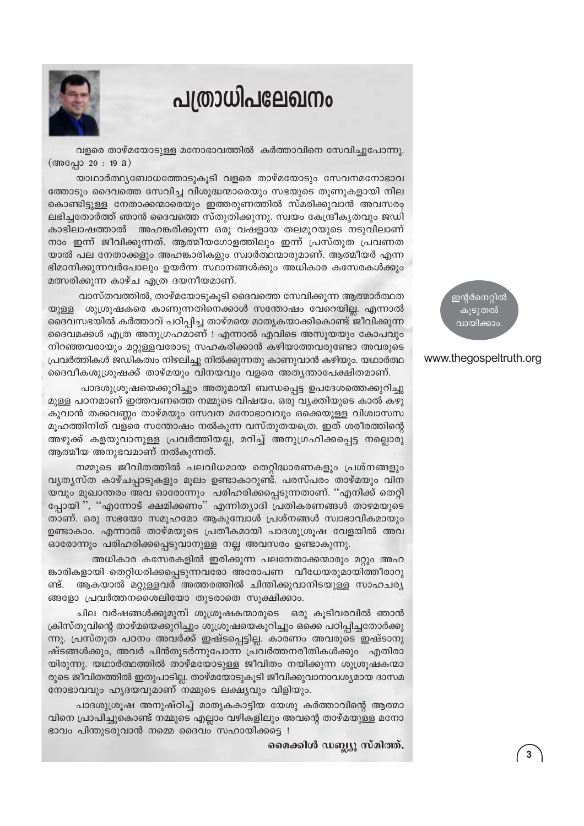### പത്രാധിപലേഖനം



വളരെ താഴ്മയോടുള്ള മനോഭാവത്തിൽ കർത്താവിനെ സേവിച്ചുപോന്നു.  $(\text{600})$  20 : 19 a)

യാഥാർത്ഥ്യബോധത്തോടുകൂടി വളരെ താഴ്മയോടും സേവനമനോഭാവ ത്തോടും ദൈവത്തെ സേവിച്ച വിശുദ്ധന്മാരെയും സഭയുടെ തുണുകളായി നില കൊണ്ടിട്ടുള്ള നേതാക്കന്മാരെയും ഇത്തരുണത്തിൽ സ്മരിക്കുവാൻ അവസരം ലഭിച്ചതോർത്ത് ഞാൻ ദൈവത്തെ സ്തുതിക്കുന്നു. സ്വയം കേന്ദ്രീകൃതവും ജഡി കാഭിലാഷത്താൽ അഹങ്കരിക്കുന്ന ഒരു വഷളായ തലമുറയുടെ നടുവിലാണ് നാം ഇന്ന് ജീവിക്കുന്നത്. ആത്മീയഗോളത്തിലും ഇന്ന് പ്രസ്തുത പ്രവണത യാൽ പല നേതാക്കളും അഹങ്കാരികളും സ്വാർത്ഥന്മാരുമാണ്. ആത്മീയർ എന്ന ഭിമാനിക്കുന്നവർപോലും ഉയർന്ന സ്ഥാനങ്ങൾക്കും അധികാര കസേരകൾക്കും മത്സരിക്കുന്ന കാഴ്ച എത്ര ദയനീയമാണ്.

വാസ്തവത്തിൽ, താഴ്മയോടുകൂടി ദൈവത്തെ സേവിക്കുന്ന ആത്മാർത്ഥത യുള്ള ശുശ്രുഷകരെ കാണുന്നതിനെക്കാൾ സന്തോഷം വേറെയില്ല. എന്നാൽ ദൈവസഭയിൽ കർത്താവ് പഠിപ്പിച്ച താഴ്മയെ മാതൃകയാക്കികൊണ്ട് ജീവിക്കുന്ന ദൈവമക്കൾ എത്ര അനുഗ്രഹമാണ് ! എന്നാൽ എവിടെ അസൂയയും കോപവും നിറഞ്ഞവരായും മറ്റുള്ളവരോടു സഹകരിക്കാൻ കഴിയാത്തവരുണ്ടോ അവരുടെ പ്രവർത്തികൾ ജഡികത്വം നിഴലിച്ചു നിൽക്കുന്നതു കാണുവാൻ കഴിയും. യഥാർത്ഥ ദൈവീകശുശ്രുഷക്ക് താഴ്മയും വിനയവും വളരെ അത്യന്താപേക്ഷിതമാണ്.

പാദശുശ്രൂഷയെക്കുറിച്ചും അതുമായി ബന്ധപ്പെട്ട ഉപദേശത്തെക്കുറിച്ചു മുള്ള പഠനമാണ് ഇത്തവണത്തെ നമ്മുടെ വിഷയം. ഒരു വ്യക്തിയുടെ കാൽ കഴു കുവാൻ തക്കവണ്ണം താഴ്മയും സേവന മനോഭാവവും ഒക്കെയുള്ള വിശ്വാസസ മുഹത്തിനിത് വളരെ സന്തോഷം നൽകുന്ന വസ്തുതയത്രെ. ഇത് ശരീരത്തിന്റെ അഴുക്ക് കളയുവാനുള്ള പ്രവർത്തിയല്ല, മറിച്ച് അനുഗ്രഹിക്കപ്പെട്ട നല്ലൊരു ആത്മീയ അനുഭവമാണ് നൽകുന്നത്.

നമ്മുടെ ജീവിതത്തിൽ പലവിധമായ തെറ്റിദ്ധാരണകളും പ്രശ്നങ്ങളും വൃത്യസ്ത കാഴ്ചപ്പാടുകളും മൂലം ഉണ്ടാകാറുണ്ട്. പരസ്പരം താഴ്മയും വിന യവും മുഖാന്തരം അവ ഓരോന്നും പരിഹരിക്കപ്പെടുന്നതാണ്. ''എനിക്ക് തെറ്റി പ്പോയി ", "എന്നോട് ക്ഷമിക്കണം" എന്നിത്യാദി പ്രതികരണങ്ങൾ താഴമയുടെ താണ്. ഒരു സഭയോ സമൂഹമോ ആകുമ്പോൾ പ്രശ്നങ്ങൾ സ്വാഭാവികമായും ഉണ്ടാകാം. എന്നാൽ താഴ്മയുടെ പ്രതീകമായി പാദശുശ്രൂഷ വേളയിൽ അവ ഓരോന്നും പരിഹരിക്കപ്പെടുവാനുള്ള നല്ല അവസരം ഉണ്ടാകുന്നു.

അധികാര കസേരകളിൽ ഇരിക്കുന്ന പലനേതാക്കന്മാരും മറ്റും അഹ ങ്കാരികളായി തെറ്റിധരിക്കപ്പെടുന്നവരോ അരോപണ വീധേയരുമായിത്തീരാറു ണ്ട്. ആകയാൽ മറ്റുള്ളവർ അത്തരത്തിൽ ചിന്തിക്കുവാനിടയുള്ള സാഹചര്യ ങ്ങളോ പ്രവർത്തനശൈലിയോ തുടരാതെ സൂക്ഷിക്കാം.

ചില വർഷങ്ങൾക്കുമുമ്പ് ശുശ്രുഷകന്മാരുടെ ഒരു കുടിവരവിൽ ഞാൻ ക്രിസ്തുവിന്റെ താഴ്മയെക്കുറിച്ചും ശുശ്രൂഷയെകുറിച്ചും ഒക്കെ പഠിപ്പിച്ചതോർക്കു ന്നു. പ്രസ്തുത പഠനം അവർക്ക് ഇഷ്ടപ്പെട്ടില്ല. കാരണം അവരുടെ ഇഷ്ടാനു ഷ്ടങ്ങൾക്കും, അവർ പിൻതുടർന്നുപോന്ന പ്രവർത്തനരീതികൾക്കും എതിരാ യിരുന്നു. യഥാർത്ഥത്തിൽ താഴ്മയോടുള്ള ജീവിതം നയിക്കുന്ന ശുശ്രൂഷകന്മാ രുടെ ജീവിതത്തിൽ ഇതുപാടില്ല. താഴ്മയോടുകൂടി ജീവിക്കുവാനാവശ്യമായ ദാസമ നോഭാവവും ഹൃദയവുമാണ് നമ്മുടെ ലക്ഷ്യവും വിളിയും.

പാദശുശ്രൂഷ അനുഷ്ഠിച്ച് മാതൃകകാട്ടിയ യേശു കർത്താവിന്റെ ആത്മാ വിനെ പ്രാപിച്ചുകൊണ്ട് നമ്മുടെ എല്ലാം വഴികളിലും അവന്റെ താഴ്മയുള്ള മനോ ഭാവം പിന്തുടരുവാൻ നമ്മെ ദൈവം സഹായിക്കട്ടെ !

മൈക്കിൾ ഡബ്ല്യൂ സ്മിത്ത്.

ഇന്റർനെറ്റിൽ കുടുതൽ വായിക്കാം

#### www.thegospeltruth.org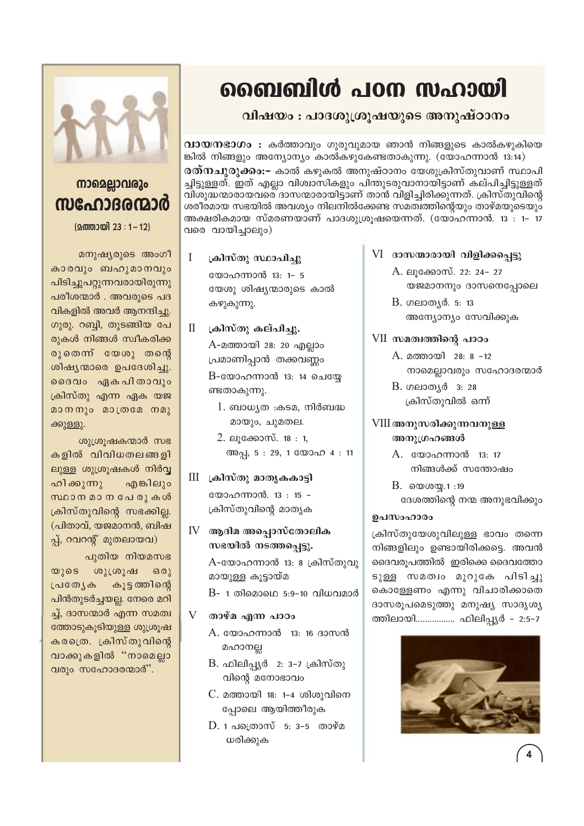## ബൈബിൾ പഠന സഹായി

#### വിഷയം : പാദശുശ്രൂഷയുടെ അനുഷ്ഠാനം

 $\overline{0}$ വായനഭാഗം : കർത്താവും ഗുരുവുമായ ഞാൻ നിങ്ങളുടെ കാൽകഴുകിയെ ങ്കിൽ നിങ്ങളും അന്യോന്യം കാൽകഴുകേണ്ടതാകുന്നു. (യോഹന്നാൻ 13:14) **രത്നചുരുക്കം:-** കാൽ കഴുകൽ അനുഷ്ഠാനം യേശുക്രിസ്തുവാണ് സ്ഥാപി ച്ചിട്ടുള്ളത്. ഇത് എല്ലാ വിശ്വാസികളും പിന്തുടരുവാനായിട്ടാണ് കല്പിച്ചിട്ടുള്ളത് വിശുദ്ധന്മാരായവരെ ദാസന്മാരായിട്ടാണ് താൻ വിളിച്ചിരിക്കുന്നത്. ക്രിസ്തുവിന്റെ ശരീരമായ സഭയിൽ അവശ്യം നിലനിൽക്കേണ്ട സമത്വത്തിന്റെയും താഴ്മയുടെയും അക്ഷരികമായ സ്മരണയാണ് പാദശുശ്രൂഷയെന്നത്. (യോഹന്നാൻ. 13 : 1– 17 വരെ വായിച്ചാലും)

 $\mathbf{I}$ ക്രിസ്തു സ്ഥാപിച്ചു

> യോഹന്നാൻ 13: 1- 5 യേശു ശിഷ്യന്മാരുടെ കാൽ കഴുകുന്നു.

 $\mathbf{I}$ ക്രിസ്തു കല്പിച്ചു. A-മത്തായി 28: 20 എല്ലാം

പ്രമാണിപ്പാൻ തക്കവണ്ണം  $B$ -യോഹന്നാൻ 13: 14 ചെയ്യേ ണ്ടതാകുന്നു.

- $1.$  ബാധ്യത :കടമ, നിർബദ്ധ മായും, ചുമതല.
- 2. ലൂക്കോസ്.  $18:1$ , അപ്പ, 5:29, 1 യോഹ 4:11
- III ക്രിസ്തു മാതൃകകാട്ടി യോഹന്നാൻ. 13: 15 -ക്രിസ്തുവിന്റെ മാതൃക
- $IV$  ആദിമ അപ്പൊസ്തോലിക സഭയിൽ നടത്തപ്പെട്ടു.  $A$ -യോഹന്നാൻ 13: 8 ക്രിസ്തുവു മായുള്ള കൂട്ടായ്മ

 $B$ - 1 തിമൊഥെ 5:9-10 വിധവമാർ

- V താഴ്മ എന്ന പാഠം
	- A. യോഹന്നാൻ 13: 16 ദാസൻ മഹാനല്ല
	- B. ഫിലിപ്പ്യർ 2: 3–7 ക്രിസ്തു വിന്റെ മനോഭാവം
	- C. മത്തായി 18: 1-4 ശിശുവിനെ പ്പോലെ ആയിത്തീരുക
	- $D. 1$  പത്രൊസ് 5: 3-5 താഴ്മ ധരിക്കുക
- $VI$  ദാസന്മാരായി വിളിക്കപ്പെട്ടു
	- A. ലൂക്കോസ്. 22: 24- 27 യജമാനനും ദാസനെപ്പോലെ
	- B. ഗലാതൃർ. 5: 13 അന്യോന്യം സേവിക്കുക
- VII സമത്വത്തിന്റെ പാഠം
	- A. മത്തായി 28: 8 -12 നാമെല്ലാവരും സഹോദരന്മാർ
	- B. ഗലാതൃർ 3: 28 ക്രിസ്തുവിൽ ഒന്ന്

#### VIII അനുസരിക്കുന്നവനുള്ള അനുഗ്രഹങ്ങൾ

- A. യോഹന്നാൻ 13: 17 നിങ്ങൾക്ക് സന്തോഷം
- $B.$  0000 $(0.1)$ :19 ദേശത്തിന്റെ നന്മ അനുഭവിക്കും

#### ഉപസംഹാരം

ക്രിസ്തുയേശുവിലുള്ള ഭാവം തന്നെ നിങ്ങളിലും ഉണ്ടായിരിക്കട്ടെ. അവൻ ദൈവരൂപത്തിൽ ഇരിക്കെ ദൈവത്തോ ടുള്ള സമത്വം മുറുകേ പിടിച്ചു കൊള്ളേണം എന്നു വിചാരിക്കാതെ ദാസരൂപമെടുത്തു മനുഷ്യ സാദൃശ്യ ത്തിലായി................. ഫിലിപ്പ്യർ - 2:5-7





### നാമെല്ലാവരും സഹോദരന്മാർ

 $(2000200)$  23 : 1 - 12)

മനുഷ്യരുടെ അംഗീ കാരവും ബഹുമാനവും പിടിച്ചുപറ്റുന്നവരായിരുന്നു പരീശന്മാർ . അവരുടെ പദ വികളിൽ അവർ ആനന്ദിച്ചു. ഗുരു. റബ്ബി, തുടങ്ങിയ പേ രുകൾ നിങ്ങൾ സ്വീകരിക്ക രുതെന്ന് യേശു തന്റെ ശിഷ്യന്മാരെ ഉപദേശിച്ചു. ദൈവം ഏകപിതാവും ക്രിസ്തു എന്ന ഏക യജ മാനനും മാത്രമേ നമു ക്കുള്ളു.

ശുശ്രൂഷകന്മാർ സഭ കളിൽ വിവിധതലങ്ങളി ലുള്ള ശുശ്രുഷകൾ നിർവ്വ ഹിക്കുന്നു എങ്കിലും സ്ഥാനമാനപേരുകൾ ക്രിസ്തുവിന്റെ സഭക്കില്ല. (പിതാവ്, യജമാനൻ, ബിഷ പ്പ്, റവറന്റ് മുതലായവ)

പുതിയ നിയമസഭ യുടെ ശുശ്രൂഷ  $6301$ പ്രത്യേക കൂട്ട ത്തിന്റെ പിൻതുടർച്ചയല്ല. നേരെ മറി ച്ച്, ദാസന്മാർ എന്ന സമത്വ ത്തോടുകൂടിയുള്ള ശുശ്രൂഷ കരത്രെ. ക്രിസ്തുവിന്റെ വാക്കുകളിൽ "നാമെല്ലാ വരും സഹോദരന്മാർ".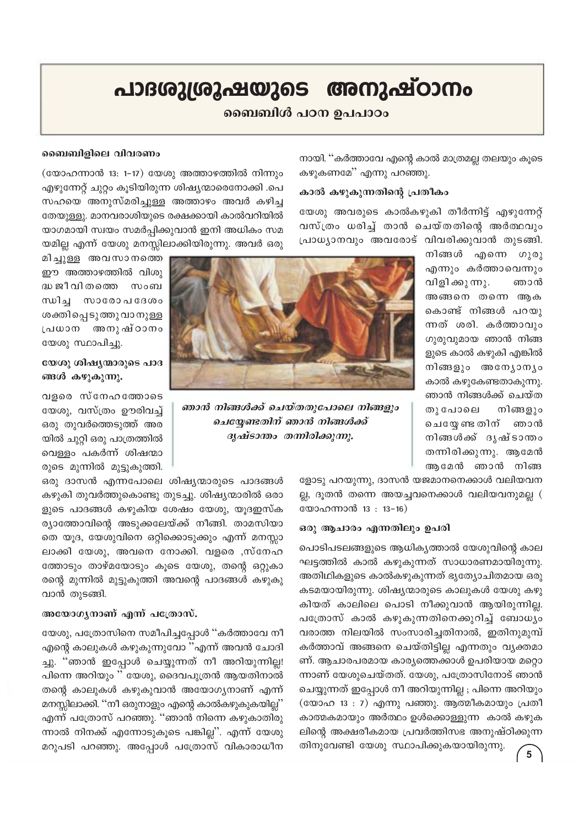### പാദശുശ്രൂഷയുടെ അനുഷ്ഠാനം

#### ബൈബിൾ പഠന ഉപപാഠം

നായി. ''കർത്താവേ എന്റെ കാൽ മാത്രമല്ല തലയും കൂടെ കഴുകണമേ'' എന്നു പറഞ്ഞു.

#### കാൽ കഴുകുന്നതിന്റെ പ്രതീകം

യേശു അവരുടെ കാൽകഴുകി തീർന്നിട്ട് എഴുന്നേറ്റ് വസ്ത്രം ധരിച്ച് താൻ ചെയ്തതിന്റെ അർത്ഥവും പ്രാധ്യാനവും അവരോട് വിവരിക്കുവാൻ തുടങ്ങി.

> നിങ്ങൾ എന്നെ ഗുരു എന്നും കർത്താവെന്നും വിളി ക്കു ന്നു. ഞാൻ അങ്ങനെ തന്നെ ആക കൊണ്ട് നിങ്ങൾ പറയു ന്നത് ശരി. കർത്താവും ഗുരുവുമായ ഞാൻ നിങ്ങ ളുടെ കാൽ കഴുകി എങ്കിൽ നിങ്ങളും അന്യോന്യം കാൽ കഴുകേണ്ടതാകുന്നു. ഞാൻ നിങ്ങൾക്ക് ചെയ്ത തു പോലെ നിങ്ങളും ചെയ്യേ ണ്ട തിന് ഞാൻ നിങ്ങൾക്ക് ദൃഷ്ടാന്തം തന്നിരിക്കുന്നു. ആമേൻ ആമേൻ ഞാൻ നിങ്ങ



ഞാൻ നിങ്ങൾക്ക് ചെയ്തതുപോലെ നിങ്ങളും ചെയ്യേണ്ടതിന് ഞാൻ നിങ്ങൾക്ക് ദൃഷ്ടാന്തം തന്നിരിക്കുന്നു.

(യോഹന്നാൻ 13: 1-17) യേശു അത്താഴത്തിൽ നിന്നും എഴുന്നേറ്റ് ചുറ്റം കൂടിയിരുന്ന ശിഷ്യന്മാരെനോക്കി .പെ സഹയെ അനുസ്മരിച്ചുള്ള അത്താഴം അവർ കഴിച്ച തേയുള്ളു. മാനവരാശിയുടെ രക്ഷക്കായി കാൽവറിയിൽ യാഗമായി സ്വയം സമർപ്പിക്കുവാൻ ഇനി അധികം സമ യമില്ല എന്ന് യേശു മനസ്സിലാക്കിയിരുന്നു. അവർ ഒരു

മിച്ചുള്ള അവസാനത്തെ ഈ അത്താഴത്തിൽ വിശു ദ്ധ ജീ വി തത്തെ സംബ ന്ധിച്ച സാരോപദേശം ശക്തിപ്പെടുത്തുവാനുള്ള പ്രധാന അനുഷ്ഠാനം യേശു സ്ഥാപിച്ചു.

ബൈബിളിലെ വിവരണം

#### യേശു ശിഷൃന്മാരുടെ പാദ ങ്ങൾ കഴുകുന്നു.

വളരെ സ്നേഹത്തോടെ യേശു, വസ്ത്രം ഊരിവച്ച് ഒരു തുവർത്തെടുത്ത് അര യിൽ ചുറ്റി ഒരു പാത്രത്തിൽ വെള്ളം പകർന്ന് ശിഷന്മാ രുടെ മുന്നിൽ മുട്ടുകുത്തി.

ഒരു ദാസൻ എന്നപോലെ ശിഷ്യന്മാരുടെ പാദങ്ങൾ കഴുകി തുവർത്തുകൊണ്ടു തുടച്ചു. ശിഷ്യന്മാരിൽ ഒരാ ളുടെ പാദങ്ങൾ കഴുകിയ ശേഷം യേശു, യൂദഇസ്ക ര്യാത്തോവിന്റെ അടുക്കലേയ്ക്ക് നീങ്ങി. താമസിയാ തെ യൂദ, യേശുവിനെ ഒറ്റിക്കൊടുക്കും എന്ന് മനസ്സാ ലാക്കി യേശു, അവനെ നോക്കി. വളരെ ,സ്നേഹ ത്തോടും താഴ്മയോടും കൂടെ യേശു, തന്റെ ഒറ്റുകാ രന്റെ മുന്നിൽ മുട്ടുകുത്തി അവന്റെ പാദങ്ങൾ കഴുകു വാൻ തുടങ്ങി.

#### അയോഗൃനാണ് എന്ന് പത്രോസ്.

യേശു, പത്രോസിനെ സമീപിച്ചപ്പോൾ ''കർത്താവേ നീ എന്റെ കാലുകൾ കഴുകുന്നുവോ ''എന്ന് അവൻ ചോദി ച്ചു. "ഞാൻ ഇപ്പോൾ ചെയ്യുന്നത് നീ അറിയുന്നില്ല! പിന്നെ അറിയും " യേശു, ദൈവപുത്രൻ ആയതിനാൽ തന്റെ കാലുകൾ കഴുകുവാൻ അയോഗ്യനാണ് എന്ന് മനസ്സിലാക്കി. ''നീ ഒരുനാളും എന്റെ കാൽകഴുകുകയില്ല'' എന്ന് പത്രോസ് പറഞ്ഞു. ''ഞാൻ നിന്നെ കഴുകാതിരു ന്നാൽ നിനക്ക് എന്നോടുകൂടെ പങ്കില്ല". എന്ന് യേശു മറുപടി പറഞ്ഞു. അപ്പോൾ പത്രോസ് വികാരാധീന

ളോടു പറയുന്നു, ദാസൻ യജമാനനെക്കാൾ വലിയവന ല്ല, ദൂതൻ തന്നെ അയച്ചവനെക്കാൾ വലിയവനുമല്ല ( യോഹന്നാൻ 13: 13-16)

#### ഒരു ആചാരം എന്നതിലും ഉപരി

പൊടിപടലങ്ങളുടെ ആധികൃത്താൽ യേശുവിന്റെ കാല ഘട്ടത്തിൽ കാൽ കഴുകുന്നത് സാധാരണമായിരുന്നു. അതിഥികളുടെ കാൽകഴുകുന്നത് ഭൂത്യോചിതമായ ഒരു കടമയായിരുന്നു. ശിഷ്യന്മാരുടെ കാലുകൾ യേശു കഴു കിയത് കാലിലെ പൊടി നീക്കുവാൻ ആയിരുന്നില്ല. പത്രോസ് കാൽ കഴുകുന്നതിനെക്കുറിച്ച് ബോധ്യം വരാത്ത നിലയിൽ സംസാരിച്ചതിനാൽ, ഇതിനുമുമ്പ് കർത്താവ് അങ്ങനെ ചെയ്തിട്ടില്ല എന്നതും വ്യക്തമാ ണ്. ആചാരപരമായ കാര്യത്തെക്കാൾ ഉപരിയായ മറ്റൊ ന്നാണ് യേശുചെയ്തത്. യേശു, പത്രോസിനോട് ഞാൻ ചെയ്യുന്നത് ഇപ്പോൾ നീ അറിയുന്നില്ല ; പിന്നെ അറിയും (യോഹ 13 : 7) എന്നു പഞ്ഞു. ആത്മീകമായും പ്രതീ കാത്മകമായും അർത്ഥം ഉൾക്കൊള്ളുന്ന കാൽ കഴുക ലിന്റെ അക്ഷരീകമായ പ്രവർത്തിസഭ അനുഷ്ഠിക്കുന്ന തിനുവേണ്ടി യേശു സ്ഥാപിക്കുകയായിരുന്നു.

 $\overline{5}$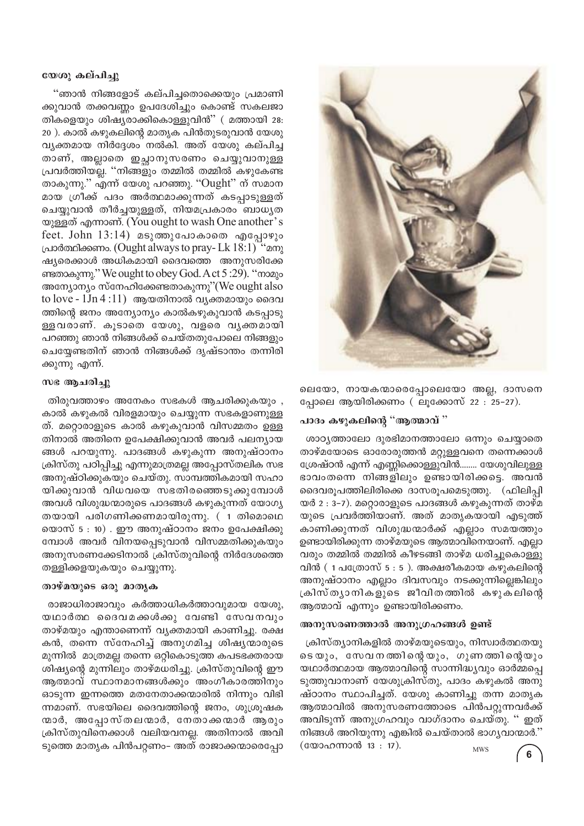#### യേശു കല്പിച്ചു

"ഞാൻ നിങ്ങളോട് കല്പിച്ചതൊക്കെയും പ്രമാണി ക്കുവാൻ തക്കവണ്ണം ഉപദേശിച്ചും കൊണ്ട് സകലജാ തികളെയും ശിഷ്യരാക്കികൊള്ളുവിൻ" ( മത്തായി 28: 20). കാൽ കഴുകലിന്റെ മാതൃക പിൻതുടരുവാൻ യേശു വ്യക്തമായ നിർദ്ദേശം നൽകി. അത് യേശു കല്പിച്ച താണ്, അല്ലാതെ ഇച്ചാനുസരണം ചെയ്യുവാനുള്ള പ്രവർത്തിയല്ല. ''നിങ്ങളും തമ്മിൽ തമ്മിൽ കഴുകേണ്ട താകുന്നു." എന്ന് യേശു പറഞ്ഞു. "Ought" ന് സമാന മായ ഗ്രീക്ക് പദം അർത്ഥമാക്കുന്നത് കടപ്പാടുള്ളത് ചെയ്യുവാൻ തീർച്ചയുള്ളത്, നിയമപ്രകാരം ബാധൃത യൂള്ളത് എന്നാണ്. (You ought to wash One another's feet. John  $13:14$ ) മടുത്തുപോകാതെ എപ്പോഴും പ്രാർത്ഥിക്കണം. (Ought always to pray-Lk 18:1) "മനു ഷ്യരെക്കാൾ അധികമായി ദൈവത്തെ അനുസരിക്കേ ണ്ടതാകുന്നു." We ought to obey God. A ct 5 :29). "നാമും അന്യോന്യം സ്നേഹിക്കേണ്ടതാകുന്നു"(We ought also to love -  $1Jn 4:11)$  ആയതിനാൽ വ്യക്തമായും ദൈവ ത്തിന്റെ ജനം അന്യോന്യം കാൽകഴുകുവാൻ കടപ്പാടു ള്ളവരാണ്. കൂടാതെ യേശു, വളരെ വൃക്തമായി പറഞ്ഞു ഞാൻ നിങ്ങൾക്ക് ചെയ്തതുപോലെ നിങ്ങളും ചെയ്യേണ്ടതിന് ഞാൻ നിങ്ങൾക്ക് ദൃഷ്ടാന്തം തന്നിരി ക്കുന്നു എന്ന്.

#### സഭ ആചരിച്ചു

തിരുവത്താഴം അനേകം സഭകൾ ആചരിക്കുകയും, കാൽ കഴുകൽ വിരളമായും ചെയ്യുന്ന സഭകളാണുള്ള ത്. മറ്റൊരാളുടെ കാൽ കഴുകുവാൻ വിസമ്മതം ഉള്ള തിനാൽ അതിനെ ഉപേക്ഷിക്കുവാൻ അവർ പലന്യായ ങ്ങൾ പറയുന്നു. പാദങ്ങൾ കഴുകുന്ന അനുഷ്ഠാനം ക്രിസ്തു പഠിപ്പിച്ചു എന്നുമാത്രമല്ല അപ്പോസ്തലിക സഭ അനുഷ്ഠിക്കുകയും ചെയ്തു. സാമ്പത്തികമായി സഹാ യിക്കുവാൻ വിധവയെ സഭതിരഞ്ഞെടുക്കുമ്പോൾ അവൾ വിശുദ്ധന്മാരുടെ പാദങ്ങൾ കഴുകുന്നത് യോഗ്യ തയായി പരിഗണിക്കണമായിരുന്നു. ( 1 തിമൊഥെ യൊസ്5: 10). ഈ അനുഷ്ഠാനം ജനം ഉപേക്ഷിക്കു മ്പോൾ അവർ വിനയപ്പെടുവാൻ വിസമ്മതിക്കുകയും അനുസരണക്കേടിനാൽ ക്രിസ്തുവിന്റെ നിർദേശത്തെ തള്ളിക്കളയുകയും ചെയ്യുന്നു.

#### താഴ്മയുടെ ഒരു മാതൃക

രാജാധിരാജാവും കർത്താധികർത്താവുമായ യേശു, യഥാർത്ഥ ദൈവമക്കൾക്കു വേണ്ടി സേവനവും താഴ്മയും എന്താണെന്ന് വ്യക്തമായി കാണിച്ചു. രക്ഷ കൻ, തന്നെ സ്നേഹിച്ച് അനുഗമിച്ച ശിഷ്യന്മാരുടെ മുന്നിൽ മാത്രമല്ല തന്നെ ഒറ്റികൊടുത്ത കപടഭക്തരായ ശിഷ്യന്റെ മുന്നിലും താഴ്മധരിച്ചു. ക്രിസ്തുവിന്റെ ഈ ആത്മാവ് സ്ഥാനമാനങ്ങൾക്കും അംഗീകാരത്തിനും ഓടുന്ന ഇന്നത്തെ മതനേതാക്കന്മാരിൽ നിന്നും വിഭി ന്നമാണ്. സഭയിലെ ദൈവത്തിന്റെ ജനം, ശുശ്രൂഷക നമാർ, അപ്പോസ്തലന്മാർ, നേതാക്കന്മാർ ആരും ക്രിസ്തുവിനെക്കാൾ വലിയവനല്ല. അതിനാൽ അവി ടുത്തെ മാതൃക പിൻപറ്റണം– അത് രാജാക്കന്മാരെപ്പോ



ലെയോ, നായകന്മാരെപ്പോലെയോ അല്ല, ദാസനെ പ്പോലെ ആയിരിക്കണം ( ലൂക്കോസ് 22 : 25-27).

#### പാദം കഴുകലിന്റെ "ആത്മാവ് "

ശാഠ്യത്താലോ ദുരഭിമാനത്താലോ ഒന്നും ചെയ്യാതെ താഴ്മയോടെ ഓരോരുത്തൻ മറ്റുള്ളവനെ തന്നെക്കാൾ ശ്രേഷ്ഠൻ എന്ന് എണ്ണിക്കൊള്ളുവിൻ........ യേശുവിലുള്ള ഭാവംതന്നെ നിങ്ങളിലും ഉണ്ടായിരിക്കട്ടെ. അവൻ ദൈവരൂപത്തിലിരിക്കെ ദാസരൂപമെടുത്തു. (ഫിലിപ്പി യർ 2 : 3-7). മറ്റൊരാളുടെ പാദങ്ങൾ കഴുകുന്നത് താഴ്മ യുടെ പ്രവർത്തിയാണ്. അത് മാതൃകയായി എടുത്ത് കാണിക്കുന്നത് വിശുദ്ധന്മാർക്ക് എല്ലാം സമയത്തും ഉണ്ടായിരിക്കുന്ന താഴ്മയുടെ ആത്മാവിനെയാണ്. എല്ലാ വരും തമ്മിൽ തമ്മിൽ കീഴടങ്ങി താഴ്മ ധരിച്ചുകൊള്ളു വിൻ  $(1 \text{ } u$ ്രോസ്  $5 : 5$ ). അക്ഷരീകമായ കഴുകലിന്റെ അനുഷ്ഠാനം എല്ലാം ദിവസവും നടക്കുന്നില്ലെങ്കിലും ക്രിസ്ത്യാനികളുടെ ജീവിതത്തിൽ കഴുകലിന്റെ ആത്മാവ് എന്നും ഉണ്ടായിരിക്കണം.

#### അനുസരണത്താൽ അനുഗ്രഹങ്ങൾ ഉണ്ട്

ക്രിസ്ത്യാനികളിൽ താഴ്മയുടെയും, നിസ്വാർത്ഥതയു ടെയും, സേവനത്തിന്റെയും, ഗുണത്തിന്റെയും യഥാർത്ഥമായ ആത്മാവിന്റെ സാന്നിദ്ധ്യവും ഓർമ്മപ്പെ ടുത്തുവാനാണ് യേശുക്രിസ്തു, പാദം കഴുകൽ അനു ഷ്ഠാനം സ്ഥാപിച്ചത്. യേശു കാണിച്ചു തന്ന മാതൃക ആത്മാവിൽ അനുസരണത്തോടെ പിൻപറ്റുന്നവർക്ക് അവിടുന്ന് അനുഗ്രഹവും വാഗ്ദാനം ചെയ്തു. '' ഇത് നിങ്ങൾ അറിയുന്നു എങ്കിൽ ചെയ്താൽ ഭാഗൃവാന്മാർ." (യോഹന്നാൻ 13:17). **MWS**  $6\phantom{a}$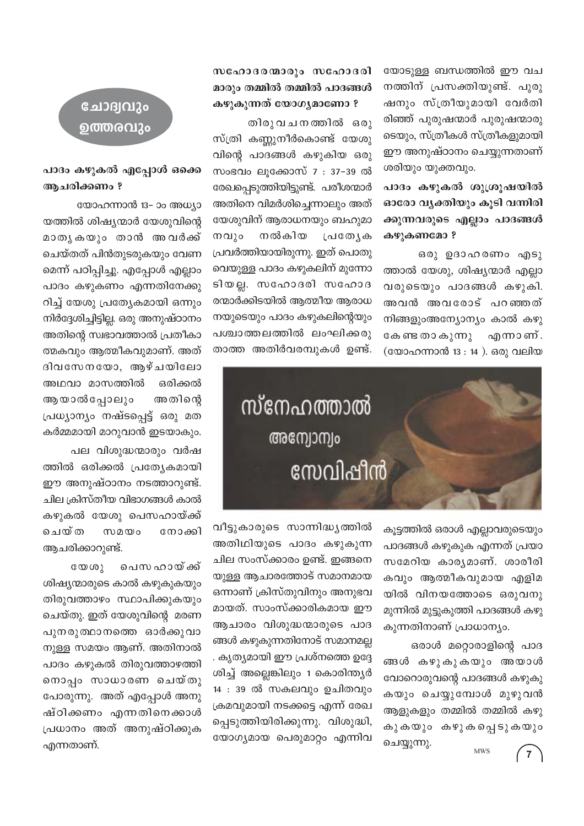യോടുള്ള ബന്ധത്തിൽ ഈ വച നത്തിന് പ്രസക്തിയുണ്ട്. പുരു ഷനും സ്ത്രീയുമായി വേർതി രിഞ്ഞ് പുരുഷന്മാർ പുരുഷന്മാരു ടെയും, സ്ത്രീകൾ സ്ത്രീകളുമായി ഈ അനുഷ്ഠാനം ചെയ്യുന്നതാണ് ശരിയും യുക്തവും.

പാദം കഴുകൽ ശുശ്രൂഷയിൽ ഓരോ വൃക്തിയും കൂടി വന്നിരി ക്കുന്നവരുടെ എല്ലാം പാദങ്ങൾ കഴുകണമോ?

ഒരു ഉദാഹരണം എടു ത്താൽ യേശു, ശിഷ്യന്മാർ എല്ലാ വരുടെയും പാദങ്ങൾ കഴുകി. അവൻ അവരോട് പറഞ്ഞത് നിങ്ങളുംഅന്യോന്യം കാൽ കഴു കേണ്ട താകുന്നു എന്നാണ്. (യോഹന്നാൻ 13 : 14 ). ഒരു വലിയ

സഹോദരന്മാരും സഹോദരി മാരും തമ്മിൽ തമ്മിൽ പാദങ്ങൾ കഴുകുന്നത് യോഗ്യമാണോ ?

തിരുവചനത്തിൽ ഒരു സ്ത്രി കണ്ണുനീർകൊണ്ട് യേശു വിന്റെ പാദങ്ങൾ കഴുകിയ ഒരു സംഭവം ലൂക്കോസ് 7 : 37-39 ൽ രേഖപ്പെടുത്തിയിട്ടുണ്ട്. പരീശന്മാർ അതിനെ വിമർശിച്ചെന്നാലും അത് യേശുവിന് ആരാധനയും ബഹുമാ നൽകിയ നവും പ്രത്യേക പ്രവർത്തിയായിരുന്നു. ഇത് പൊതു വെയുള്ള പാദം കഴുകലിന് മുന്നോ ടിയല്ല. സഹോദരി സഹോദ രന്മാർക്കിടയിൽ ആത്മീയ ആരാധ നയുടെയും പാദം കഴുകലിന്റെയും പശ്ചാത്തലത്തിൽ ലംഘിക്കരു താത്ത അതിർവരമ്പുകൾ ഉണ്ട്.



കൂട്ടത്തിൽ ഒരാൾ എല്ലാവരുടെയും പാദങ്ങൾ കഴുകുക എന്നത് പ്രയാ സമേറിയ കാര്യമാണ്. ശാരീരി കവും ആത്മീകവുമായ എളിമ യിൽ വിനയത്തോടെ ഒരുവനു മുന്നിൽ മുട്ടുകുത്തി പാദങ്ങൾ കഴു കുന്നതിനാണ് പ്രാധാന്യം.

ഒരാൾ മറ്റൊരാളിന്റെ പാദ ങ്ങൾ കഴുകുകയും അയാൾ വോറൊരുവന്റെ പാദങ്ങൾ കഴുകു കയും ചെയ്യുമ്പോൾ മുഴുവൻ ആളുകളും തമ്മിൽ തമ്മിൽ കഴു കുകയും കഴുകപ്പെടുകയും ചെയ്യുന്നു. **MWS**  $\overline{7}$ 

വീട്ടുകാരുടെ സാന്നിദ്ധ്യത്തിൽ അതിഥിയുടെ പാദം കഴുകുന്ന ചില സംസ്ക്കാരം ഉണ്ട്. ഇങ്ങനെ യുള്ള ആചാരത്തോട് സമാനമായ ഒന്നാണ് ക്രിസ്തുവിനും അനുഭവ മായത്. സാംസ്ക്കാരികമായ ഈ ആചാരം വിശുദ്ധന്മാരുടെ പാദ ങ്ങൾ കഴുകുന്നതിനോട് സമാനമല്ല . കൃത്യമായി ഈ പ്രശ്നത്തെ ഉദ്ദേ ശിച്ച് അല്ലെങ്കിലും 1 കൊരിന്ത്യർ 14 : 39 ൽ സകലവും ഉചിതവും ക്രമവുമായി നടക്കട്ടെ എന്ന് രേഖ പ്പെടുത്തിയിരിക്കുന്നു. വിശുദ്ധി, യോഗ്യമായ പെരുമാറ്റം എന്നിവ



#### പാദം കഴുകൽ എപ്പോൾ ഒക്കെ ആചരിക്കണം ?

യോഹന്നാൻ 13– ാം അധ്യാ യത്തിൽ ശിഷ്യന്മാർ യേശുവിന്റെ മാതൃകയും താൻ അവർക്ക് ചെയ്തത് പിൻതുടരുകയും വേണ മെന്ന് പഠിപ്പിച്ചു. എപ്പോൾ എല്ലാം പാദം കഴുകണം എന്നതിനേക്കു റിച്ച് യേശു പ്രത്യേകമായി ഒന്നും നിർദ്ദേശിച്ചിട്ടില്ല. ഒരു അനുഷ്ഠാനം അതിന്റെ സ്വഭാവത്താൽ പ്രതീകാ ത്മകവും ആത്മീകവുമാണ്. അത് ദിവസേനയോ, ആഴ്ചയിലോ അഥവാ മാസത്തിൽ ഒരിക്കൽ ആയാൽപ്പോലും അതിന്റെ പ്രധ്യാന്യം നഷ്ടപ്പെട്ട് ഒരു മത കർമ്മമായി മാറുവാൻ ഇടയാകും.

പല വിശുദ്ധന്മാരും വർഷ ത്തിൽ ഒരിക്കൽ പ്രത്യേകമായി ഈ അനുഷ്ഠാനം നടത്താറുണ്ട്. ചില ക്രിസ്തീയ വിഭാഗങ്ങൾ കാൽ കഴുകൽ യേശു പെസഹായ്ക്ക് ചെയ്ത സമയം നോക്കി ആചരിക്കാറുണ്ട്.

പെസ ഹായ് ക്ക്  $C \otimes C$ ശിഷ്യന്മാരുടെ കാൽ കഴുകുകയും തിരുവത്താഴം സ്ഥാപിക്കുകയും ചെയ്തു. ഇത് യേശുവിന്റെ മരണ പുനരുത്ഥാനത്തെ ഓർക്കുവാ നുള്ള സമയം ആണ്. അതിനാൽ പാദം കഴുകൽ തിരുവത്താഴത്തി നൊപ്പം സാധാരണ ചെയ്തു പോരുന്നു. അത് എപ്പോൾ അനു ഷ്ഠിക്കണം എന്നതിനെക്കാൾ പ്രധാനം അത് അനുഷ്ഠിക്കുക എന്നതാണ്.